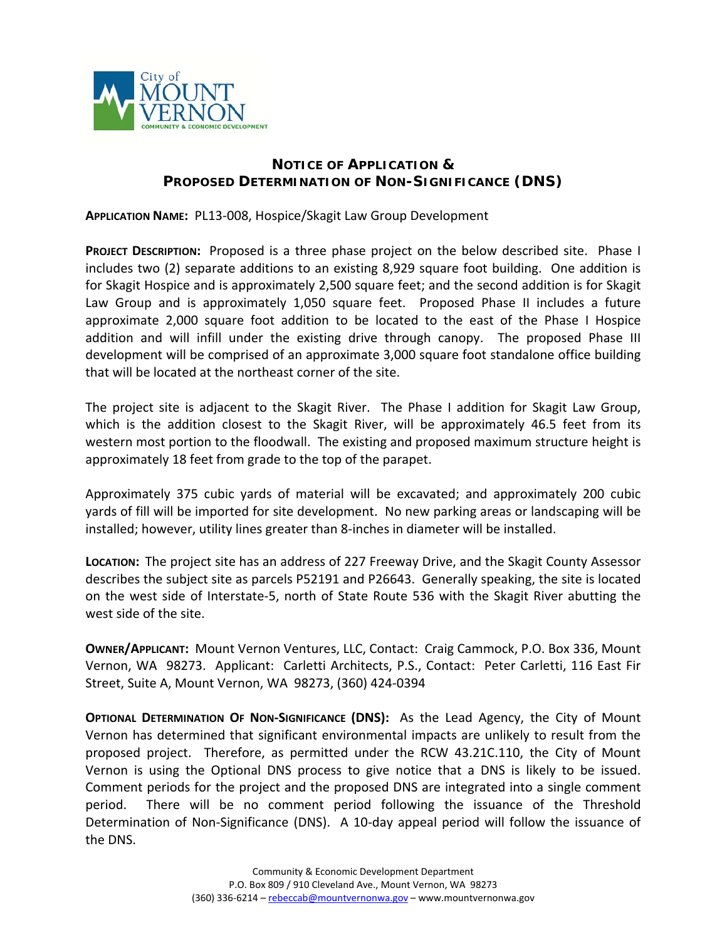

## **NOTICE OF APPLICATION & PROPOSED DETERMINATION OF NON-SIGNIFICANCE (DNS)**

**APPLICATION NAME:** PL13‐008, Hospice/Skagit Law Group Development

**PROJECT DESCRIPTION:** Proposed is a three phase project on the below described site. Phase I includes two (2) separate additions to an existing 8,929 square foot building. One addition is for Skagit Hospice and is approximately 2,500 square feet; and the second addition is for Skagit Law Group and is approximately 1,050 square feet. Proposed Phase II includes a future approximate 2,000 square foot addition to be located to the east of the Phase I Hospice addition and will infill under the existing drive through canopy. The proposed Phase III development will be comprised of an approximate 3,000 square foot standalone office building that will be located at the northeast corner of the site.

The project site is adjacent to the Skagit River. The Phase I addition for Skagit Law Group, which is the addition closest to the Skagit River, will be approximately 46.5 feet from its western most portion to the floodwall. The existing and proposed maximum structure height is approximately 18 feet from grade to the top of the parapet.

Approximately 375 cubic yards of material will be excavated; and approximately 200 cubic yards of fill will be imported for site development. No new parking areas or landscaping will be installed; however, utility lines greater than 8‐inches in diameter will be installed.

**LOCATION:** The project site has an address of 227 Freeway Drive, and the Skagit County Assessor describes the subject site as parcels P52191 and P26643. Generally speaking, the site is located on the west side of Interstate‐5, north of State Route 536 with the Skagit River abutting the west side of the site.

**OWNER/APPLICANT:** Mount Vernon Ventures, LLC, Contact: Craig Cammock, P.O. Box 336, Mount Vernon, WA 98273. Applicant: Carletti Architects, P.S., Contact: Peter Carletti, 116 East Fir Street, Suite A, Mount Vernon, WA 98273, (360) 424‐0394

**OPTIONAL DETERMINATION OF NON‐SIGNIFICANCE (DNS):**  As the Lead Agency, the City of Mount Vernon has determined that significant environmental impacts are unlikely to result from the proposed project. Therefore, as permitted under the RCW 43.21C.110, the City of Mount Vernon is using the Optional DNS process to give notice that a DNS is likely to be issued. Comment periods for the project and the proposed DNS are integrated into a single comment period. There will be no comment period following the issuance of the Threshold Determination of Non-Significance (DNS). A 10-day appeal period will follow the issuance of the DNS.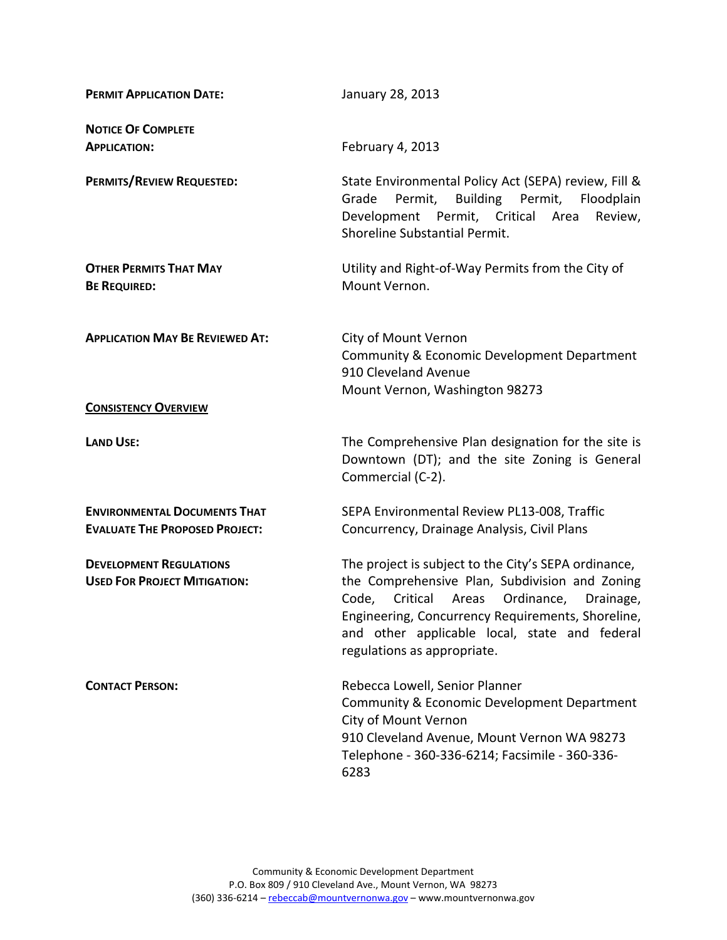| <b>PERMIT APPLICATION DATE:</b>                                              | January 28, 2013                                                                                                                                                                                                                                                                                     |
|------------------------------------------------------------------------------|------------------------------------------------------------------------------------------------------------------------------------------------------------------------------------------------------------------------------------------------------------------------------------------------------|
| <b>NOTICE OF COMPLETE</b><br><b>APPLICATION:</b>                             | February 4, 2013                                                                                                                                                                                                                                                                                     |
| PERMITS/REVIEW REQUESTED:                                                    | State Environmental Policy Act (SEPA) review, Fill &<br>Permit,<br>Building Permit,<br>Grade<br>Floodplain<br>Development Permit, Critical Area<br>Review,<br>Shoreline Substantial Permit.                                                                                                          |
| <b>OTHER PERMITS THAT MAY</b><br><b>BE REQUIRED:</b>                         | Utility and Right-of-Way Permits from the City of<br>Mount Vernon.                                                                                                                                                                                                                                   |
| <b>APPLICATION MAY BE REVIEWED AT:</b>                                       | City of Mount Vernon<br>Community & Economic Development Department<br>910 Cleveland Avenue<br>Mount Vernon, Washington 98273                                                                                                                                                                        |
| <b>CONSISTENCY OVERVIEW</b>                                                  |                                                                                                                                                                                                                                                                                                      |
| <b>LAND USE:</b>                                                             | The Comprehensive Plan designation for the site is<br>Downtown (DT); and the site Zoning is General<br>Commercial (C-2).                                                                                                                                                                             |
| <b>ENVIRONMENTAL DOCUMENTS THAT</b><br><b>EVALUATE THE PROPOSED PROJECT:</b> | SEPA Environmental Review PL13-008, Traffic<br>Concurrency, Drainage Analysis, Civil Plans                                                                                                                                                                                                           |
| <b>DEVELOPMENT REGULATIONS</b><br><b>USED FOR PROJECT MITIGATION:</b>        | The project is subject to the City's SEPA ordinance,<br>the Comprehensive Plan, Subdivision and Zoning<br>Code,<br>Critical<br>Ordinance,<br>Areas<br>Drainage,<br>Engineering, Concurrency Requirements, Shoreline,<br>and other applicable local, state and federal<br>regulations as appropriate. |
| <b>CONTACT PERSON:</b>                                                       | Rebecca Lowell, Senior Planner<br>Community & Economic Development Department<br>City of Mount Vernon<br>910 Cleveland Avenue, Mount Vernon WA 98273<br>Telephone - 360-336-6214; Facsimile - 360-336-<br>6283                                                                                       |